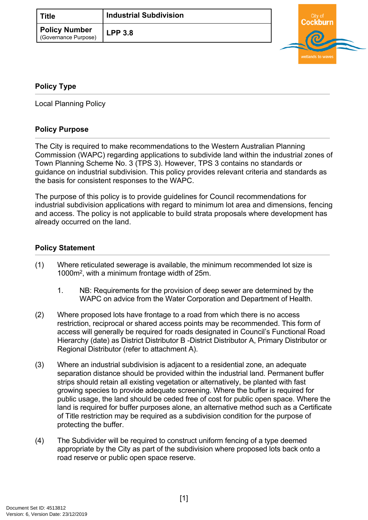<span id="page-0-2"></span>

| <b>Title</b>                                 | <b>Industrial Subdivision</b> |  |
|----------------------------------------------|-------------------------------|--|
| <b>Policy Number</b><br>(Governance Purpose) | <b>LPP 3.8</b>                |  |



## <span id="page-0-0"></span>**[Policy Type](#page-0-0)**

Local Planning Policy

## **Policy Purpose**

The City is required to make recommendations to the Western Australian Planning Commission (WAPC) regarding applications to subdivide land within the industrial zones of Town Planning Scheme No. 3 (TPS 3). However, TPS 3 contains no standards or guidance on industrial subdivision. This policy provides relevant criteria and standards as the basis for consistent responses to the WAPC.

The purpose of this policy is to provide guidelines for Council recommendations for industrial subdivision applications with regard to minimum lot area and dimensions, fencing and access. The policy is not applicable to build strata proposals where development has already occurred on the land.

## **[Policy Statement](#page-0-1)**

- <span id="page-0-1"></span>(1) Where reticulated sewerage is available, the minimum recommended lot size is 1000m<sup>2</sup> , with a minimum frontage width of 25m.
	- 1. NB: Requirements for the provision of deep sewer are determined by the WAPC on advice from the Water Corporation and Department of Health.
- (2) Where proposed lots have frontage to a road from which there is no access restriction, reciprocal or shared access points may be recommended. This form of access will generally be required for roads designated in Council's Functional Road Hierarchy (date) as District Distributor B -District Distributor A, Primary Distributor or Regional Distributor (refer to attachment A).
- (3) Where an industrial subdivision is adjacent to a residential zone, an adequate separation distance should be provided within the industrial land. Permanent buffer strips should retain all existing vegetation or alternatively, be planted with fast growing species to provide adequate screening. Where the buffer is required for public usage, the land should be ceded free of cost for public open space. Where the land is required for buffer purposes alone, an alternative method such as a Certificate of Title restriction may be required as a subdivision condition for the purpose of protecting the buffer.
- (4) The Subdivider will be required to construct uniform fencing of a type deemed appropriate by the City as part of the subdivision where proposed lots back onto a road reserve or public open space reserve.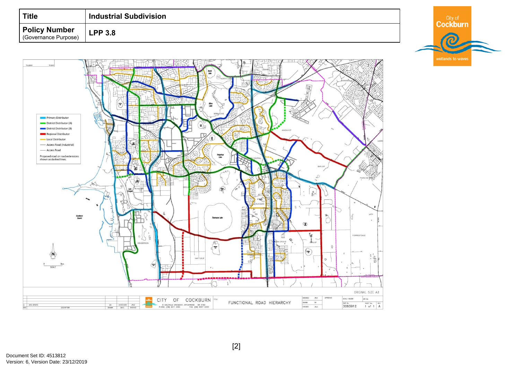| Title                                        | <b>Industrial Subdivision</b> |  | City o |  |
|----------------------------------------------|-------------------------------|--|--------|--|
| <b>Policy Number</b><br>(Governance Purpose) | LPP3.8                        |  |        |  |